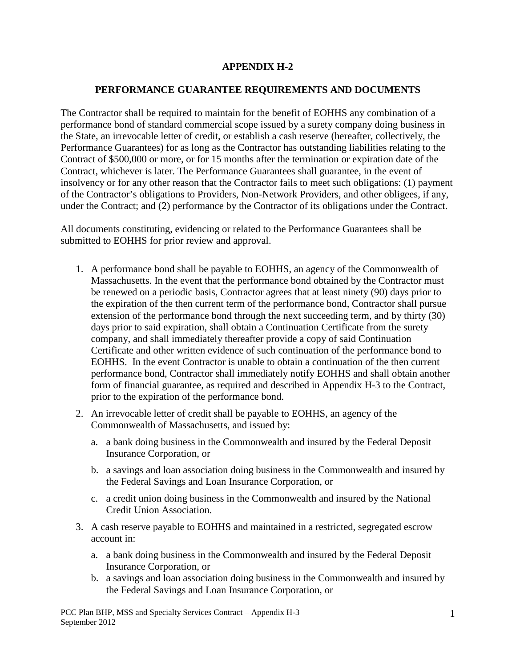# **APPENDIX H-2**

# **PERFORMANCE GUARANTEE REQUIREMENTS AND DOCUMENTS**

The Contractor shall be required to maintain for the benefit of EOHHS any combination of a performance bond of standard commercial scope issued by a surety company doing business in the State, an irrevocable letter of credit, or establish a cash reserve (hereafter, collectively, the Performance Guarantees) for as long as the Contractor has outstanding liabilities relating to the Contract of \$500,000 or more, or for 15 months after the termination or expiration date of the Contract, whichever is later. The Performance Guarantees shall guarantee, in the event of insolvency or for any other reason that the Contractor fails to meet such obligations: (1) payment of the Contractor's obligations to Providers, Non-Network Providers, and other obligees, if any, under the Contract; and (2) performance by the Contractor of its obligations under the Contract.

All documents constituting, evidencing or related to the Performance Guarantees shall be submitted to EOHHS for prior review and approval.

- 1. A performance bond shall be payable to EOHHS, an agency of the Commonwealth of Massachusetts. In the event that the performance bond obtained by the Contractor must be renewed on a periodic basis, Contractor agrees that at least ninety (90) days prior to the expiration of the then current term of the performance bond, Contractor shall pursue extension of the performance bond through the next succeeding term, and by thirty (30) days prior to said expiration, shall obtain a Continuation Certificate from the surety company, and shall immediately thereafter provide a copy of said Continuation Certificate and other written evidence of such continuation of the performance bond to EOHHS. In the event Contractor is unable to obtain a continuation of the then current performance bond, Contractor shall immediately notify EOHHS and shall obtain another form of financial guarantee, as required and described in Appendix H-3 to the Contract, prior to the expiration of the performance bond.
- 2. An irrevocable letter of credit shall be payable to EOHHS, an agency of the Commonwealth of Massachusetts, and issued by:
	- a. a bank doing business in the Commonwealth and insured by the Federal Deposit Insurance Corporation, or
	- b. a savings and loan association doing business in the Commonwealth and insured by the Federal Savings and Loan Insurance Corporation, or
	- c. a credit union doing business in the Commonwealth and insured by the National Credit Union Association.
- 3. A cash reserve payable to EOHHS and maintained in a restricted, segregated escrow account in:
	- a. a bank doing business in the Commonwealth and insured by the Federal Deposit Insurance Corporation, or
	- b. a savings and loan association doing business in the Commonwealth and insured by the Federal Savings and Loan Insurance Corporation, or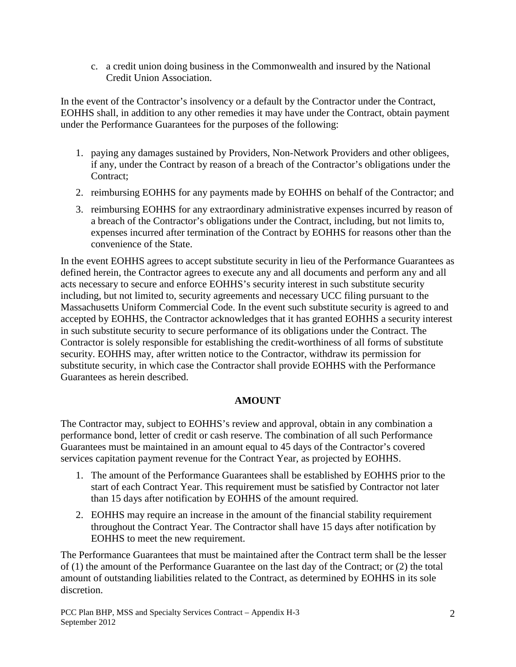c. a credit union doing business in the Commonwealth and insured by the National Credit Union Association.

In the event of the Contractor's insolvency or a default by the Contractor under the Contract, EOHHS shall, in addition to any other remedies it may have under the Contract, obtain payment under the Performance Guarantees for the purposes of the following:

- 1. paying any damages sustained by Providers, Non-Network Providers and other obligees, if any, under the Contract by reason of a breach of the Contractor's obligations under the Contract;
- 2. reimbursing EOHHS for any payments made by EOHHS on behalf of the Contractor; and
- 3. reimbursing EOHHS for any extraordinary administrative expenses incurred by reason of a breach of the Contractor's obligations under the Contract, including, but not limits to, expenses incurred after termination of the Contract by EOHHS for reasons other than the convenience of the State.

In the event EOHHS agrees to accept substitute security in lieu of the Performance Guarantees as defined herein, the Contractor agrees to execute any and all documents and perform any and all acts necessary to secure and enforce EOHHS's security interest in such substitute security including, but not limited to, security agreements and necessary UCC filing pursuant to the Massachusetts Uniform Commercial Code. In the event such substitute security is agreed to and accepted by EOHHS, the Contractor acknowledges that it has granted EOHHS a security interest in such substitute security to secure performance of its obligations under the Contract. The Contractor is solely responsible for establishing the credit-worthiness of all forms of substitute security. EOHHS may, after written notice to the Contractor, withdraw its permission for substitute security, in which case the Contractor shall provide EOHHS with the Performance Guarantees as herein described.

## **AMOUNT**

The Contractor may, subject to EOHHS's review and approval, obtain in any combination a performance bond, letter of credit or cash reserve. The combination of all such Performance Guarantees must be maintained in an amount equal to 45 days of the Contractor's covered services capitation payment revenue for the Contract Year, as projected by EOHHS.

- 1. The amount of the Performance Guarantees shall be established by EOHHS prior to the start of each Contract Year. This requirement must be satisfied by Contractor not later than 15 days after notification by EOHHS of the amount required.
- 2. EOHHS may require an increase in the amount of the financial stability requirement throughout the Contract Year. The Contractor shall have 15 days after notification by EOHHS to meet the new requirement.

The Performance Guarantees that must be maintained after the Contract term shall be the lesser of (1) the amount of the Performance Guarantee on the last day of the Contract; or (2) the total amount of outstanding liabilities related to the Contract, as determined by EOHHS in its sole discretion.